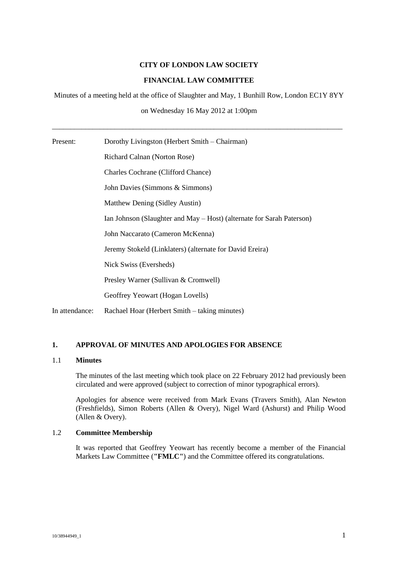## **CITY OF LONDON LAW SOCIETY**

# **FINANCIAL LAW COMMITTEE**

Minutes of a meeting held at the office of Slaughter and May, 1 Bunhill Row, London EC1Y 8YY

on Wednesday 16 May 2012 at 1:00pm

\_\_\_\_\_\_\_\_\_\_\_\_\_\_\_\_\_\_\_\_\_\_\_\_\_\_\_\_\_\_\_\_\_\_\_\_\_\_\_\_\_\_\_\_\_\_\_\_\_\_\_\_\_\_\_\_\_\_\_\_\_\_\_\_\_\_\_\_\_\_\_\_\_\_\_\_\_\_\_

| Present:       | Dorothy Livingston (Herbert Smith – Chairman)                         |
|----------------|-----------------------------------------------------------------------|
|                | Richard Calnan (Norton Rose)                                          |
|                | <b>Charles Cochrane (Clifford Chance)</b>                             |
|                | John Davies (Simmons & Simmons)                                       |
|                | Matthew Dening (Sidley Austin)                                        |
|                | Ian Johnson (Slaughter and May – Host) (alternate for Sarah Paterson) |
|                | John Naccarato (Cameron McKenna)                                      |
|                | Jeremy Stokeld (Linklaters) (alternate for David Ereira)              |
|                | Nick Swiss (Eversheds)                                                |
|                | Presley Warner (Sullivan & Cromwell)                                  |
|                | Geoffrey Yeowart (Hogan Lovells)                                      |
| In attendance: | Rachael Hoar (Herbert Smith – taking minutes)                         |

# **1. APPROVAL OF MINUTES AND APOLOGIES FOR ABSENCE**

#### 1.1 **Minutes**

The minutes of the last meeting which took place on 22 February 2012 had previously been circulated and were approved (subject to correction of minor typographical errors).

Apologies for absence were received from Mark Evans (Travers Smith), Alan Newton (Freshfields), Simon Roberts (Allen & Overy), Nigel Ward (Ashurst) and Philip Wood (Allen & Overy).

## 1.2 **Committee Membership**

It was reported that Geoffrey Yeowart has recently become a member of the Financial Markets Law Committee (**"FMLC"**) and the Committee offered its congratulations.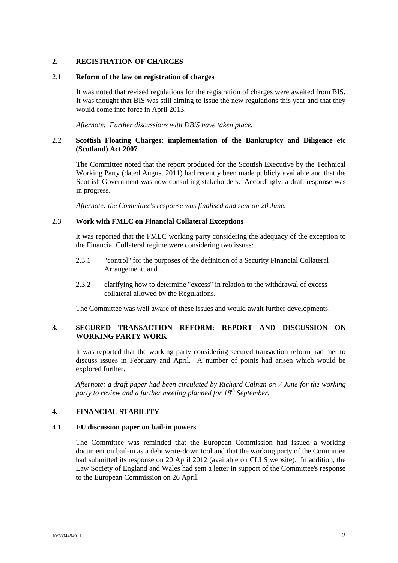## **2. REGISTRATION OF CHARGES**

#### 2.1 **Reform of the law on registration of charges**

It was noted that revised regulations for the registration of charges were awaited from BIS. It was thought that BIS was still aiming to issue the new regulations this year and that they would come into force in April 2013.

*Afternote: Further discussions with DBiS have taken place.*

#### 2.2 **Scottish Floating Charges: implementation of the Bankruptcy and Diligence etc (Scotland) Act 2007**

The Committee noted that the report produced for the Scottish Executive by the Technical Working Party (dated August 2011) had recently been made publicly available and that the Scottish Government was now consulting stakeholders. Accordingly, a draft response was in progress.

*Afternote: the Committee's response was finalised and sent on 20 June.*

### 2.3 **Work with FMLC on Financial Collateral Exceptions**

It was reported that the FMLC working party considering the adequacy of the exception to the Financial Collateral regime were considering two issues:

- 2.3.1 "control" for the purposes of the definition of a Security Financial Collateral Arrangement; and
- 2.3.2 clarifying how to determine "excess" in relation to the withdrawal of excess collateral allowed by the Regulations.

The Committee was well aware of these issues and would await further developments.

## **3. SECURED TRANSACTION REFORM: REPORT AND DISCUSSION ON WORKING PARTY WORK**

It was reported that the working party considering secured transaction reform had met to discuss issues in February and April. A number of points had arisen which would be explored further.

*Afternote: a draft paper had been circulated by Richard Calnan on 7 June for the working party to review and a further meeting planned for 18th September.*

### **4. FINANCIAL STABILITY**

#### 4.1 **EU discussion paper on bail-in powers**

The Committee was reminded that the European Commission had issued a working document on bail-in as a debt write-down tool and that the working party of the Committee had submitted its response on 20 April 2012 (available on CLLS website). In addition, the Law Society of England and Wales had sent a letter in support of the Committee's response to the European Commission on 26 April.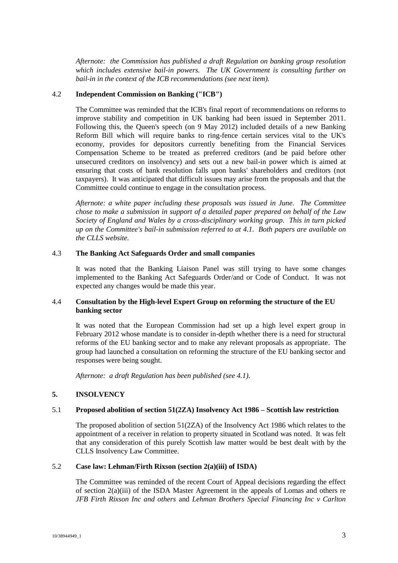*Afternote: the Commission has published a draft Regulation on banking group resolution which includes extensive bail-in powers. The UK Government is consulting further on bail-in in the context of the ICB recommendations (see next item).*

### 4.2 **Independent Commission on Banking ("ICB")**

The Committee was reminded that the ICB's final report of recommendations on reforms to improve stability and competition in UK banking had been issued in September 2011. Following this, the Queen's speech (on 9 May 2012) included details of a new Banking Reform Bill which will require banks to ring-fence certain services vital to the UK's economy, provides for depositors currently benefiting from the Financial Services Compensation Scheme to be treated as preferred creditors (and be paid before other unsecured creditors on insolvency) and sets out a new bail-in power which is aimed at ensuring that costs of bank resolution falls upon banks' shareholders and creditors (not taxpayers). It was anticipated that difficult issues may arise from the proposals and that the Committee could continue to engage in the consultation process.

*Afternote: a white paper including these proposals was issued in June. The Committee chose to make a submission in support of a detailed paper prepared on behalf of the Law Society of England and Wales by a cross-disciplinary working group. This in turn picked up on the Committee's bail-in submission referred to at 4.1. Both papers are available on the CLLS website.*

### 4.3 **The Banking Act Safeguards Order and small companies**

It was noted that the Banking Liaison Panel was still trying to have some changes implemented to the Banking Act Safeguards Order/and or Code of Conduct. It was not expected any changes would be made this year.

## 4.4 **Consultation by the High-level Expert Group on reforming the structure of the EU banking sector**

It was noted that the European Commission had set up a high level expert group in February 2012 whose mandate is to consider in-depth whether there is a need for structural reforms of the EU banking sector and to make any relevant proposals as appropriate. The group had launched a consultation on reforming the structure of the EU banking sector and responses were being sought.

*Afternote: a draft Regulation has been published (see 4.1).*

### **5. INSOLVENCY**

## 5.1 **Proposed abolition of section 51(2ZA) Insolvency Act 1986 – Scottish law restriction**

The proposed abolition of section 51(2ZA) of the Insolvency Act 1986 which relates to the appointment of a receiver in relation to property situated in Scotland was noted. It was felt that any consideration of this purely Scottish law matter would be best dealt with by the CLLS Insolvency Law Committee.

### 5.2 **Case law: Lehman/Firth Rixson (section 2(a)(iii) of ISDA)**

The Committee was reminded of the recent Court of Appeal decisions regarding the effect of section 2(a)(iii) of the ISDA Master Agreement in the appeals of Lomas and others re *JFB Firth Rixson Inc and others* and *Lehman Brothers Special Financing Inc v Carlton*